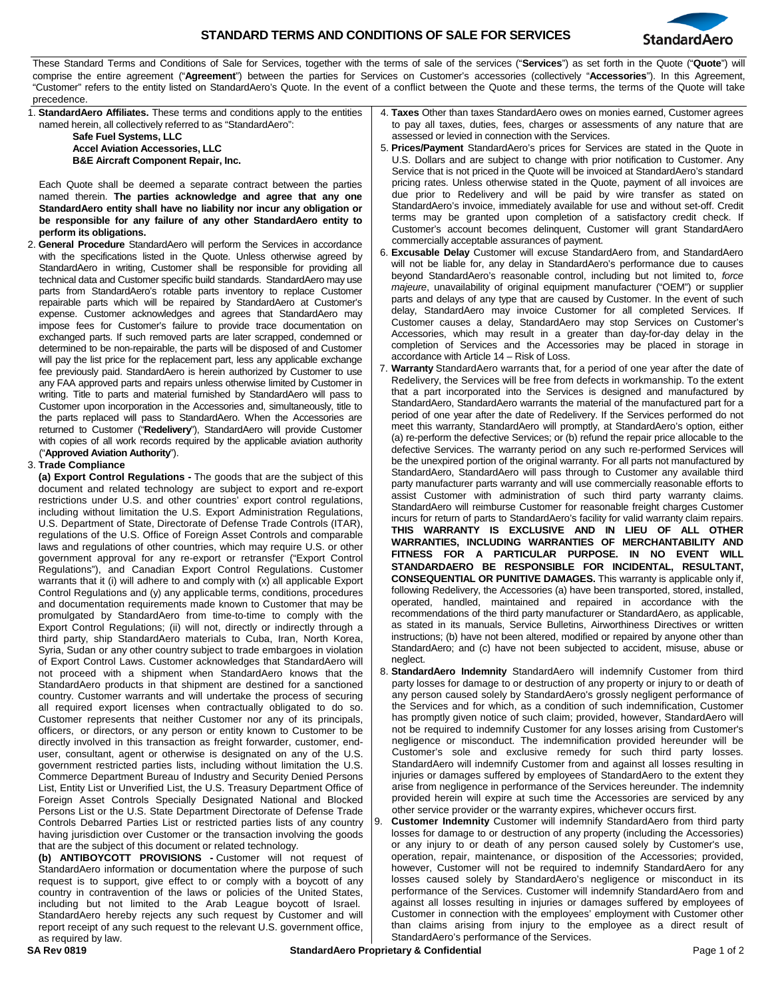

These Standard Terms and Conditions of Sale for Services, together with the terms of sale of the services ("**Services**") as set forth in the Quote ("**Quote**") will comprise the entire agreement ("**Agreement**") between the parties for Services on Customer's accessories (collectively "**Accessories**"). In this Agreement, "Customer" refers to the entity listed on StandardAero's Quote. In the event of a conflict between the Quote and these terms, the terms of the Quote will take precedence.

| precedence.                                                                    |                                                                                         |
|--------------------------------------------------------------------------------|-----------------------------------------------------------------------------------------|
| 1. StandardAero Affiliates. These terms and conditions apply to the entities   | 4. Taxes Other than taxes StandardAero owes on monies earned, Customer agrees           |
| named herein, all collectively referred to as "StandardAero":                  | to pay all taxes, duties, fees, charges or assessments of any nature that are           |
| Safe Fuel Systems, LLC                                                         | assessed or levied in connection with the Services.                                     |
| <b>Accel Aviation Accessories, LLC</b>                                         | 5. Prices/Payment StandardAero's prices for Services are stated in the Quote in         |
| <b>B&amp;E Aircraft Component Repair, Inc.</b>                                 | U.S. Dollars and are subject to change with prior notification to Customer. Any         |
|                                                                                | Service that is not priced in the Quote will be invoiced at StandardAero's standard     |
| Each Quote shall be deemed a separate contract between the parties             | pricing rates. Unless otherwise stated in the Quote, payment of all invoices are        |
| named therein. The parties acknowledge and agree that any one                  | due prior to Redelivery and will be paid by wire transfer as stated on                  |
| StandardAero entity shall have no liability nor incur any obligation or        | StandardAero's invoice, immediately available for use and without set-off. Credit       |
| be responsible for any failure of any other StandardAero entity to             | terms may be granted upon completion of a satisfactory credit check. If                 |
|                                                                                | Customer's account becomes delinquent, Customer will grant StandardAero                 |
| perform its obligations.                                                       | commercially acceptable assurances of payment.                                          |
| <b>General Procedure</b> StandardAero will perform the Services in accordance  | 6. Excusable Delay Customer will excuse StandardAero from, and StandardAero             |
| with the specifications listed in the Quote. Unless otherwise agreed by        | will not be liable for, any delay in StandardAero's performance due to causes           |
| StandardAero in writing, Customer shall be responsible for providing all       | beyond StandardAero's reasonable control, including but not limited to, force           |
| technical data and Customer specific build standards. StandardAero may use     | <i>majeure</i> , unavailability of original equipment manufacturer ("OEM") or supplier  |
| parts from StandardAero's rotable parts inventory to replace Customer          | parts and delays of any type that are caused by Customer. In the event of such          |
| repairable parts which will be repaired by StandardAero at Customer's          | delay, StandardAero may invoice Customer for all completed Services. If                 |
| expense. Customer acknowledges and agrees that StandardAero may                |                                                                                         |
| impose fees for Customer's failure to provide trace documentation on           | Customer causes a delay, StandardAero may stop Services on Customer's                   |
| exchanged parts. If such removed parts are later scrapped, condemned or        | Accessories, which may result in a greater than day-for-day delay in the                |
| determined to be non-repairable, the parts will be disposed of and Customer    | completion of Services and the Accessories may be placed in storage in                  |
| will pay the list price for the replacement part, less any applicable exchange | accordance with Article 14 – Risk of Loss.                                              |
| fee previously paid. StandardAero is herein authorized by Customer to use      | 7. Warranty StandardAero warrants that, for a period of one year after the date of      |
| any FAA approved parts and repairs unless otherwise limited by Customer in     | Redelivery, the Services will be free from defects in workmanship. To the extent        |
| writing. Title to parts and material furnished by StandardAero will pass to    | that a part incorporated into the Services is designed and manufactured by              |
| Customer upon incorporation in the Accessories and, simultaneously, title to   | StandardAero, StandardAero warrants the material of the manufactured part for a         |
| the parts replaced will pass to StandardAero. When the Accessories are         | period of one year after the date of Redelivery. If the Services performed do not       |
| returned to Customer ("Redelivery"), StandardAero will provide Customer        | meet this warranty, StandardAero will promptly, at StandardAero's option, either        |
| with copies of all work records required by the applicable aviation authority  | (a) re-perform the defective Services; or (b) refund the repair price allocable to the  |
| ("Approved Aviation Authority").                                               | defective Services. The warranty period on any such re-performed Services will          |
| 3. Trade Compliance                                                            | be the unexpired portion of the original warranty. For all parts not manufactured by    |
| (a) Export Control Regulations - The goods that are the subject of this        | StandardAero, StandardAero will pass through to Customer any available third            |
| document and related technology are subject to export and re-export            | party manufacturer parts warranty and will use commercially reasonable efforts to       |
| restrictions under U.S. and other countries' export control regulations,       | assist Customer with administration of such third party warranty claims.                |
| including without limitation the U.S. Export Administration Regulations,       | StandardAero will reimburse Customer for reasonable freight charges Customer            |
| U.S. Department of State, Directorate of Defense Trade Controls (ITAR),        | incurs for return of parts to StandardAero's facility for valid warranty claim repairs. |
| regulations of the U.S. Office of Foreign Asset Controls and comparable        | THIS WARRANTY IS EXCLUSIVE AND IN LIEU OF ALL OTHER                                     |
| laws and regulations of other countries, which may require U.S. or other       | WARRANTIES, INCLUDING WARRANTIES OF MERCHANTABILITY AND                                 |
| government approval for any re-export or retransfer ("Export Control           | FITNESS FOR A PARTICULAR PURPOSE. IN NO EVENT WILL                                      |
| Regulations"), and Canadian Export Control Regulations. Customer               | STANDARDAERO BE RESPONSIBLE FOR INCIDENTAL, RESULTANT,                                  |
| warrants that it (i) will adhere to and comply with (x) all applicable Export  | <b>CONSEQUENTIAL OR PUNITIVE DAMAGES.</b> This warranty is applicable only if,          |
| Control Regulations and (y) any applicable terms, conditions, procedures       | following Redelivery, the Accessories (a) have been transported, stored, installed,     |
| and documentation requirements made known to Customer that may be              | operated, handled, maintained and repaired in accordance with the                       |
| promulgated by StandardAero from time-to-time to comply with the               | recommendations of the third party manufacturer or StandardAero, as applicable,         |
| Export Control Regulations; (ii) will not, directly or indirectly through a    | as stated in its manuals, Service Bulletins, Airworthiness Directives or written        |
| third party, ship StandardAero materials to Cuba, Iran, North Korea,           | instructions; (b) have not been altered, modified or repaired by anyone other than      |
| Syria, Sudan or any other country subject to trade embargoes in violation      | StandardAero; and (c) have not been subjected to accident, misuse, abuse or             |
| of Export Control Laws. Customer acknowledges that StandardAero will           | neglect.                                                                                |
| not proceed with a shipment when StandardAero knows that the                   | 8. StandardAero Indemnity StandardAero will indemnify Customer from third               |
| StandardAero products in that shipment are destined for a sanctioned           | party losses for damage to or destruction of any property or injury to or death of      |
| country. Customer warrants and will undertake the process of securing          | any person caused solely by StandardAero's grossly negligent performance of             |
| all required export licenses when contractually obligated to do so.            | the Services and for which, as a condition of such indemnification, Customer            |
| Customer represents that neither Customer nor any of its principals,           | has promptly given notice of such claim; provided, however, StandardAero will           |
| officers, or directors, or any person or entity known to Customer to be        | not be required to indemnify Customer for any losses arising from Customer's            |
| directly involved in this transaction as freight forwarder, customer, end-     | negligence or misconduct. The indemnification provided hereunder will be                |
| user, consultant, agent or otherwise is designated on any of the U.S.          | Customer's sole and exclusive remedy for such third party losses.                       |
| government restricted parties lists, including without limitation the U.S.     | StandardAero will indemnify Customer from and against all losses resulting in           |
| Commerce Department Bureau of Industry and Security Denied Persons             | injuries or damages suffered by employees of StandardAero to the extent they            |
| List, Entity List or Unverified List, the U.S. Treasury Department Office of   | arise from negligence in performance of the Services hereunder. The indemnity           |
| Foreign Asset Controls Specially Designated National and Blocked               | provided herein will expire at such time the Accessories are serviced by any            |
| Persons List or the U.S. State Department Directorate of Defense Trade         | other service provider or the warranty expires, whichever occurs first.                 |
| Controls Debarred Parties List or restricted parties lists of any country      | <b>Customer Indemnity</b> Customer will indemnify StandardAero from third party<br>9.   |
| having jurisdiction over Customer or the transaction involving the goods       | losses for damage to or destruction of any property (including the Accessories)         |
| that are the subject of this document or related technology.                   | or any injury to or death of any person caused solely by Customer's use,                |

**(b) ANTIBOYCOTT PROVISIONS -** Customer will not request of StandardAero information or documentation where the purpose of such request is to support, give effect to or comply with a boycott of any country in contravention of the laws or policies of the United States, including but not limited to the Arab League boycott of Israel. StandardAero hereby rejects any such request by Customer and will report receipt of any such request to the relevant U.S. government office, as required by law.